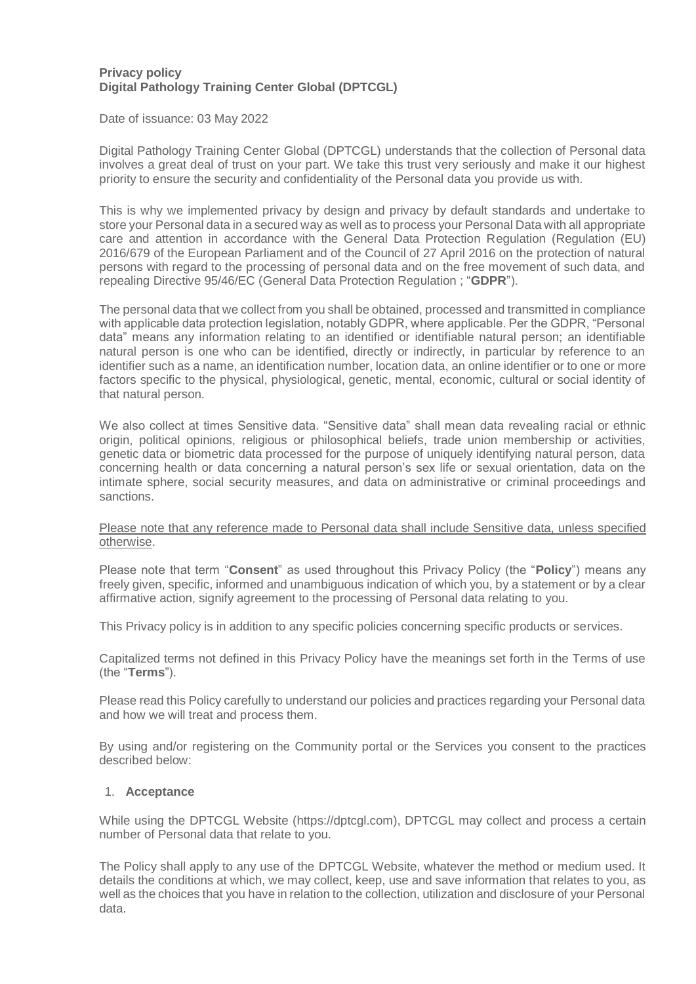### **Privacy policy Digital Pathology Training Center Global (DPTCGL)**

Date of issuance: 03 May 2022

Digital Pathology Training Center Global (DPTCGL) understands that the collection of Personal data involves a great deal of trust on your part. We take this trust very seriously and make it our highest priority to ensure the security and confidentiality of the Personal data you provide us with.

This is why we implemented privacy by design and privacy by default standards and undertake to store your Personal data in a secured way as well as to process your Personal Data with all appropriate care and attention in accordance with the General Data Protection Regulation (Regulation (EU) 2016/679 of the European Parliament and of the Council of 27 April 2016 on the protection of natural persons with regard to the processing of personal data and on the free movement of such data, and repealing Directive 95/46/EC (General Data Protection Regulation ; "**GDPR**").

The personal data that we collect from you shall be obtained, processed and transmitted in compliance with applicable data protection legislation, notably GDPR, where applicable. Per the GDPR, "Personal data" means any information relating to an identified or identifiable natural person; an identifiable natural person is one who can be identified, directly or indirectly, in particular by reference to an identifier such as a name, an identification number, location data, an online identifier or to one or more factors specific to the physical, physiological, genetic, mental, economic, cultural or social identity of that natural person.

We also collect at times Sensitive data. "Sensitive data" shall mean data revealing racial or ethnic origin, political opinions, religious or philosophical beliefs, trade union membership or activities, genetic data or biometric data processed for the purpose of uniquely identifying natural person, data concerning health or data concerning a natural person's sex life or sexual orientation, data on the intimate sphere, social security measures, and data on administrative or criminal proceedings and sanctions.

#### Please note that any reference made to Personal data shall include Sensitive data, unless specified otherwise.

Please note that term "**Consent**" as used throughout this Privacy Policy (the "**Policy**") means any freely given, specific, informed and unambiguous indication of which you, by a statement or by a clear affirmative action, signify agreement to the processing of Personal data relating to you.

This Privacy policy is in addition to any specific policies concerning specific products or services.

Capitalized terms not defined in this Privacy Policy have the meanings set forth in the Terms of use (the "**Terms**").

Please read this Policy carefully to understand our policies and practices regarding your Personal data and how we will treat and process them.

By using and/or registering on the Community portal or the Services you consent to the practices described below:

### 1. **Acceptance**

While using the DPTCGL Website (https://dptcgl.com), DPTCGL may collect and process a certain number of Personal data that relate to you.

The Policy shall apply to any use of the DPTCGL Website, whatever the method or medium used. It details the conditions at which, we may collect, keep, use and save information that relates to you, as well as the choices that you have in relation to the collection, utilization and disclosure of your Personal data.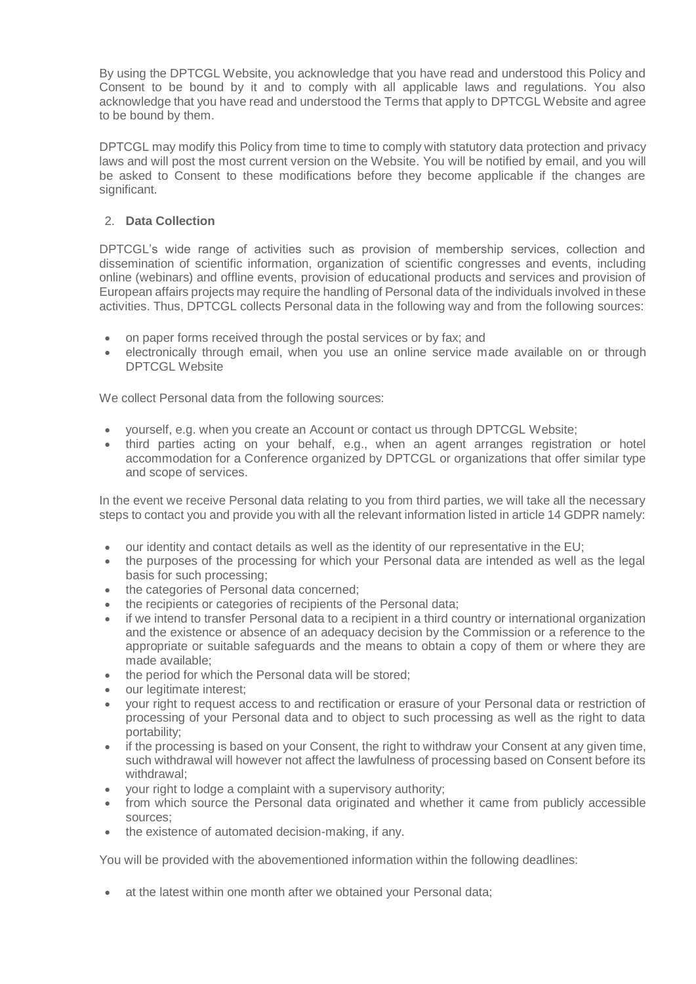By using the DPTCGL Website, you acknowledge that you have read and understood this Policy and Consent to be bound by it and to comply with all applicable laws and regulations. You also acknowledge that you have read and understood the Terms that apply to DPTCGL Website and agree to be bound by them.

DPTCGL may modify this Policy from time to time to comply with statutory data protection and privacy laws and will post the most current version on the Website. You will be notified by email, and you will be asked to Consent to these modifications before they become applicable if the changes are significant.

# 2. **Data Collection**

DPTCGL's wide range of activities such as provision of membership services, collection and dissemination of scientific information, organization of scientific congresses and events, including online (webinars) and offline events, provision of educational products and services and provision of European affairs projects may require the handling of Personal data of the individuals involved in these activities. Thus, DPTCGL collects Personal data in the following way and from the following sources:

- on paper forms received through the postal services or by fax; and
- electronically through email, when you use an online service made available on or through DPTCGL Website

We collect Personal data from the following sources:

- vourself, e.g. when you create an Account or contact us through DPTCGL Website;
- third parties acting on your behalf, e.g., when an agent arranges registration or hotel accommodation for a Conference organized by DPTCGL or organizations that offer similar type and scope of services.

In the event we receive Personal data relating to you from third parties, we will take all the necessary steps to contact you and provide you with all the relevant information listed in article 14 GDPR namely:

- our identity and contact details as well as the identity of our representative in the EU;
- the purposes of the processing for which your Personal data are intended as well as the legal basis for such processing;
- the categories of Personal data concerned;
- the recipients or categories of recipients of the Personal data;
- if we intend to transfer Personal data to a recipient in a third country or international organization and the existence or absence of an adequacy decision by the Commission or a reference to the appropriate or suitable safeguards and the means to obtain a copy of them or where they are made available;
- the period for which the Personal data will be stored;
- our legitimate interest:
- your right to request access to and rectification or erasure of your Personal data or restriction of processing of your Personal data and to object to such processing as well as the right to data portability;
- if the processing is based on your Consent, the right to withdraw your Consent at any given time, such withdrawal will however not affect the lawfulness of processing based on Consent before its withdrawal;
- your right to lodge a complaint with a supervisory authority;
- from which source the Personal data originated and whether it came from publicly accessible sources;
- the existence of automated decision-making, if any.

You will be provided with the abovementioned information within the following deadlines:

• at the latest within one month after we obtained your Personal data;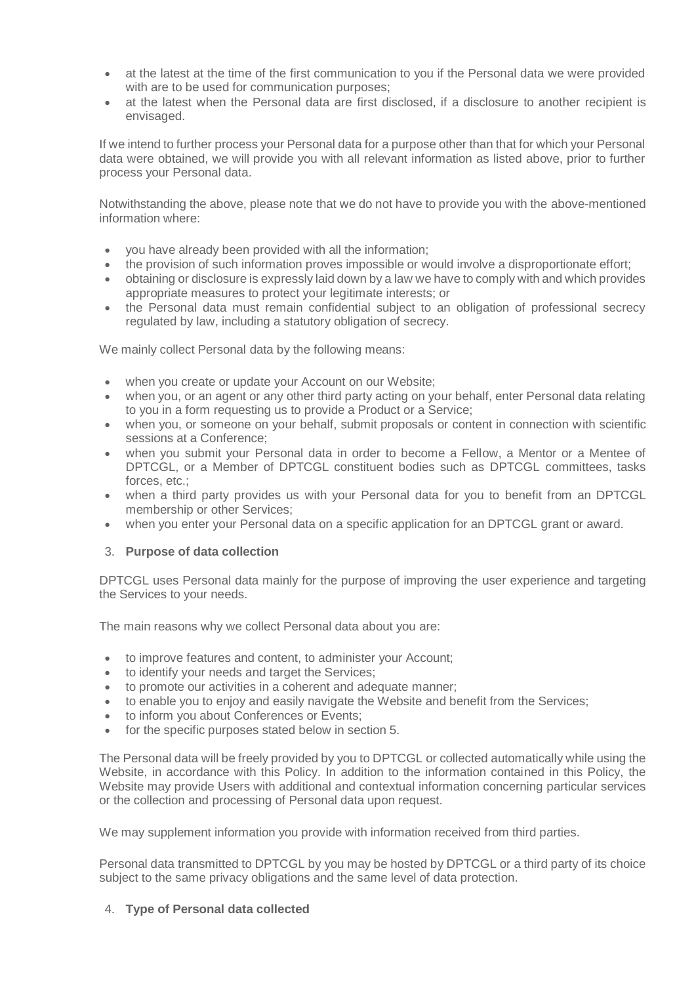- at the latest at the time of the first communication to you if the Personal data we were provided with are to be used for communication purposes;
- at the latest when the Personal data are first disclosed, if a disclosure to another recipient is envisaged.

If we intend to further process your Personal data for a purpose other than that for which your Personal data were obtained, we will provide you with all relevant information as listed above, prior to further process your Personal data.

Notwithstanding the above, please note that we do not have to provide you with the above-mentioned information where:

- you have already been provided with all the information;
- the provision of such information proves impossible or would involve a disproportionate effort;
- obtaining or disclosure is expressly laid down by a law we have to comply with and which provides appropriate measures to protect your legitimate interests; or
- the Personal data must remain confidential subject to an obligation of professional secrecy regulated by law, including a statutory obligation of secrecy.

We mainly collect Personal data by the following means:

- when you create or update your Account on our Website;
- when you, or an agent or any other third party acting on your behalf, enter Personal data relating to you in a form requesting us to provide a Product or a Service;
- when you, or someone on your behalf, submit proposals or content in connection with scientific sessions at a Conference;
- when you submit your Personal data in order to become a Fellow, a Mentor or a Mentee of DPTCGL, or a Member of DPTCGL constituent bodies such as DPTCGL committees, tasks forces, etc.;
- when a third party provides us with your Personal data for you to benefit from an DPTCGL membership or other Services;
- when you enter your Personal data on a specific application for an DPTCGL grant or award.

### 3. **Purpose of data collection**

DPTCGL uses Personal data mainly for the purpose of improving the user experience and targeting the Services to your needs.

The main reasons why we collect Personal data about you are:

- to improve features and content, to administer your Account;
- to identify your needs and target the Services;
- to promote our activities in a coherent and adequate manner;
- to enable you to enjoy and easily navigate the Website and benefit from the Services;
- to inform you about Conferences or Events;
- for the specific purposes stated below in section 5.

The Personal data will be freely provided by you to DPTCGL or collected automatically while using the Website, in accordance with this Policy. In addition to the information contained in this Policy, the Website may provide Users with additional and contextual information concerning particular services or the collection and processing of Personal data upon request.

We may supplement information you provide with information received from third parties.

Personal data transmitted to DPTCGL by you may be hosted by DPTCGL or a third party of its choice subject to the same privacy obligations and the same level of data protection.

### 4. **Type of Personal data collected**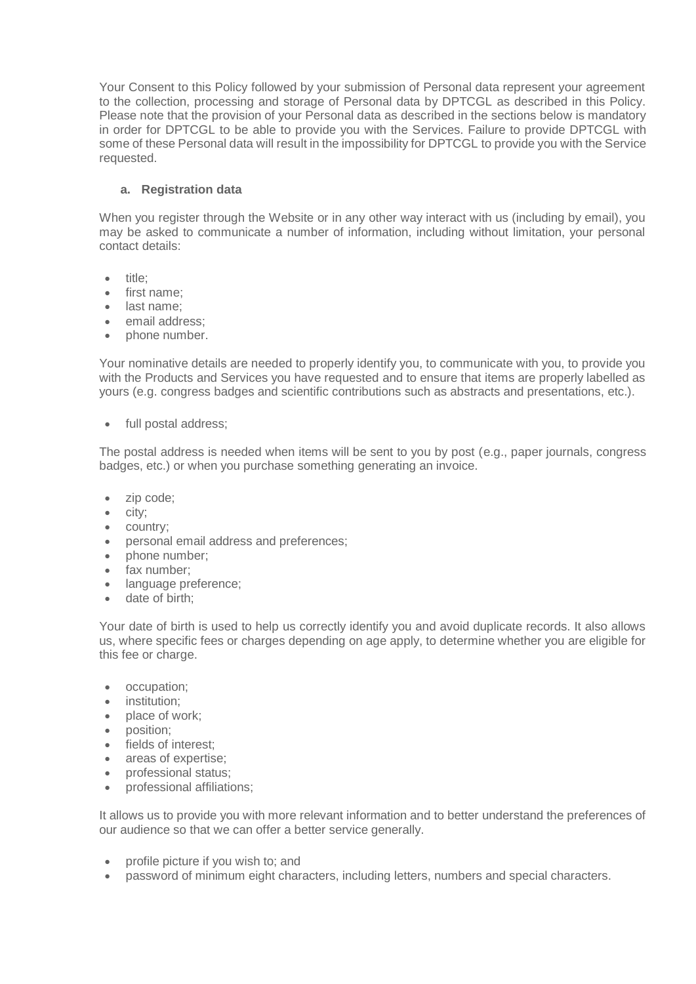Your Consent to this Policy followed by your submission of Personal data represent your agreement to the collection, processing and storage of Personal data by DPTCGL as described in this Policy. Please note that the provision of your Personal data as described in the sections below is mandatory in order for DPTCGL to be able to provide you with the Services. Failure to provide DPTCGL with some of these Personal data will result in the impossibility for DPTCGL to provide you with the Service requested.

## **a. Registration data**

When you register through the Website or in any other way interact with us (including by email), you may be asked to communicate a number of information, including without limitation, your personal contact details:

- title:
- first name;
- last name:
- email address;
- phone number.

Your nominative details are needed to properly identify you, to communicate with you, to provide you with the Products and Services you have requested and to ensure that items are properly labelled as yours (e.g. congress badges and scientific contributions such as abstracts and presentations, etc.).

• full postal address;

The postal address is needed when items will be sent to you by post (e.g., paper journals, congress badges, etc.) or when you purchase something generating an invoice.

- zip code;
- $\bullet$  city;
- country;
- personal email address and preferences;
- phone number:
- fax number;
- language preference:
- date of birth:

Your date of birth is used to help us correctly identify you and avoid duplicate records. It also allows us, where specific fees or charges depending on age apply, to determine whether you are eligible for this fee or charge.

- occupation;
- institution;
- place of work;
- position:
- fields of interest;
- areas of expertise;
- professional status;
- professional affiliations:

It allows us to provide you with more relevant information and to better understand the preferences of our audience so that we can offer a better service generally.

- profile picture if you wish to; and
- password of minimum eight characters, including letters, numbers and special characters.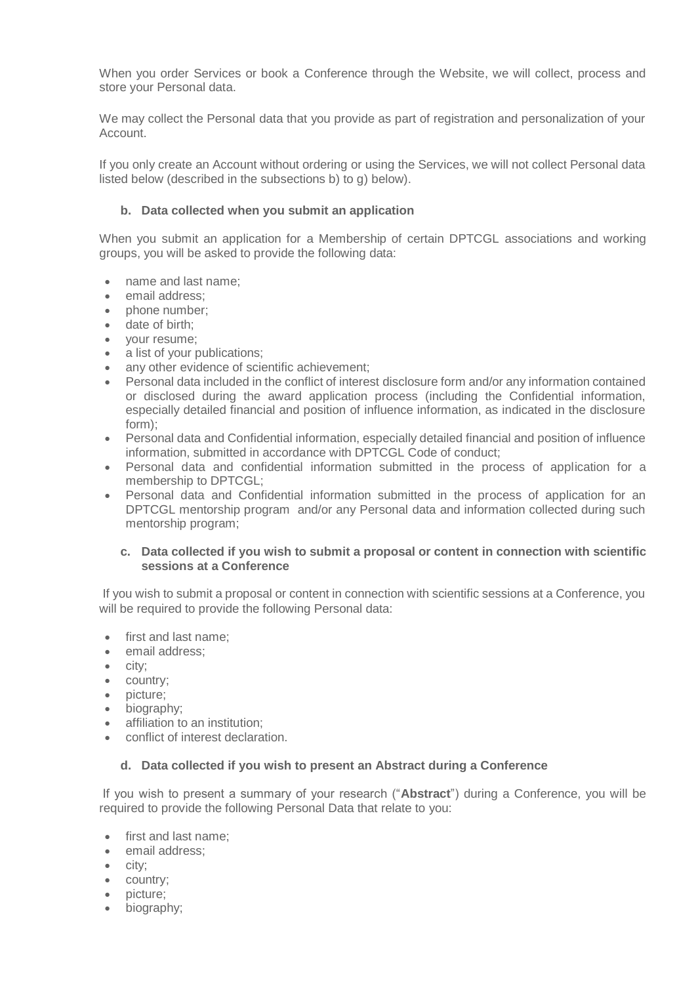When you order Services or book a Conference through the Website, we will collect, process and store your Personal data.

We may collect the Personal data that you provide as part of registration and personalization of your Account.

If you only create an Account without ordering or using the Services, we will not collect Personal data listed below (described in the subsections b) to g) below).

### **b. Data collected when you submit an application**

When you submit an application for a Membership of certain DPTCGL associations and working groups, you will be asked to provide the following data:

- name and last name;
- email address:
- phone number;
- date of birth:
- your resume;
- a list of your publications;
- any other evidence of scientific achievement;
- Personal data included in the conflict of interest disclosure form and/or any information contained or disclosed during the award application process (including the Confidential information, especially detailed financial and position of influence information, as indicated in the disclosure form);
- Personal data and Confidential information, especially detailed financial and position of influence information, submitted in accordance with DPTCGL Code of conduct;
- Personal data and confidential information submitted in the process of application for a membership to DPTCGL;
- Personal data and Confidential information submitted in the process of application for an DPTCGL mentorship program and/or any Personal data and information collected during such mentorship program;

### **c. Data collected if you wish to submit a proposal or content in connection with scientific sessions at a Conference**

If you wish to submit a proposal or content in connection with scientific sessions at a Conference, you will be required to provide the following Personal data:

- first and last name;
- email address:
- $\bullet$  city:
- country;
- picture;
- biography;
- affiliation to an institution;
- conflict of interest declaration.

### **d. Data collected if you wish to present an Abstract during a Conference**

If you wish to present a summary of your research ("**Abstract**") during a Conference, you will be required to provide the following Personal Data that relate to you:

- first and last name:
- email address;
- city;
- country;
- picture;
- biography: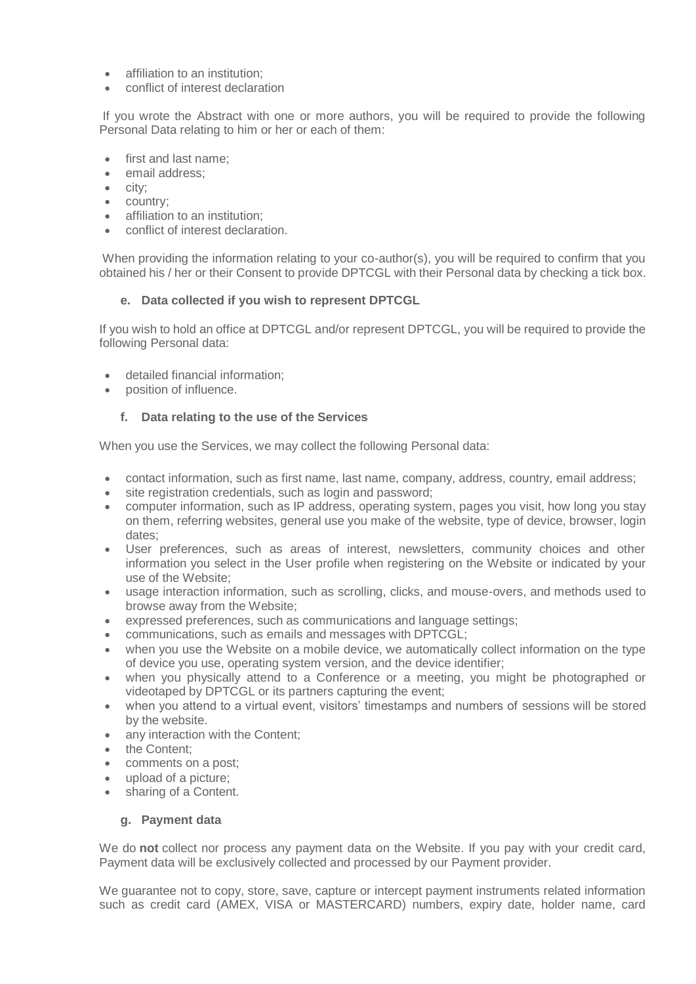- affiliation to an institution:
- conflict of interest declaration

If you wrote the Abstract with one or more authors, you will be required to provide the following Personal Data relating to him or her or each of them:

- first and last name;
- email address:
- $\bullet$  city;
- country;
- affiliation to an institution:
- conflict of interest declaration.

When providing the information relating to your co-author(s), you will be required to confirm that you obtained his / her or their Consent to provide DPTCGL with their Personal data by checking a tick box.

### **e. Data collected if you wish to represent DPTCGL**

If you wish to hold an office at DPTCGL and/or represent DPTCGL, you will be required to provide the following Personal data:

- detailed financial information;
- position of influence.

### **f. Data relating to the use of the Services**

When you use the Services, we may collect the following Personal data:

- contact information, such as first name, last name, company, address, country, email address;
- site registration credentials, such as login and password;
- computer information, such as IP address, operating system, pages you visit, how long you stay on them, referring websites, general use you make of the website, type of device, browser, login dates;
- User preferences, such as areas of interest, newsletters, community choices and other information you select in the User profile when registering on the Website or indicated by your use of the Website;
- usage interaction information, such as scrolling, clicks, and mouse-overs, and methods used to browse away from the Website;
- expressed preferences, such as communications and language settings;
- communications, such as emails and messages with DPTCGL;
- when you use the Website on a mobile device, we automatically collect information on the type of device you use, operating system version, and the device identifier;
- when you physically attend to a Conference or a meeting, you might be photographed or videotaped by DPTCGL or its partners capturing the event;
- when you attend to a virtual event, visitors' timestamps and numbers of sessions will be stored by the website.
- any interaction with the Content;
- the Content:
- comments on a post;
- upload of a picture:
- sharing of a Content.

### **g. Payment data**

We do **not** collect nor process any payment data on the Website. If you pay with your credit card, Payment data will be exclusively collected and processed by our Payment provider.

We quarantee not to copy, store, save, capture or intercept payment instruments related information such as credit card (AMEX, VISA or MASTERCARD) numbers, expiry date, holder name, card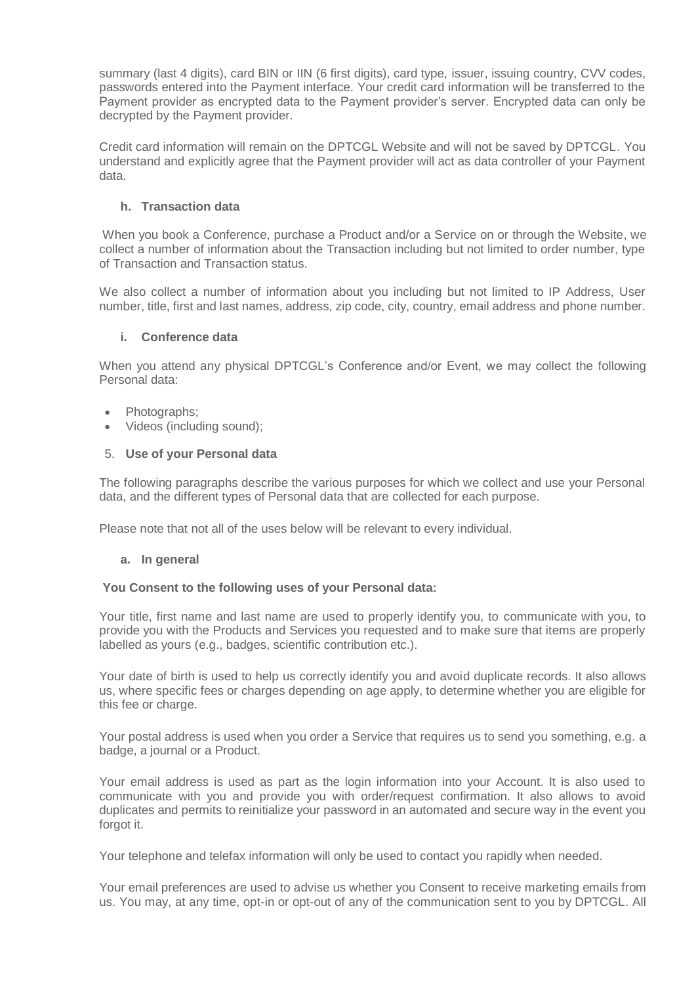summary (last 4 digits), card BIN or IIN (6 first digits), card type, issuer, issuing country, CVV codes, passwords entered into the Payment interface. Your credit card information will be transferred to the Payment provider as encrypted data to the Payment provider's server. Encrypted data can only be decrypted by the Payment provider.

Credit card information will remain on the DPTCGL Website and will not be saved by DPTCGL. You understand and explicitly agree that the Payment provider will act as data controller of your Payment data.

## **h. Transaction data**

When you book a Conference, purchase a Product and/or a Service on or through the Website, we collect a number of information about the Transaction including but not limited to order number, type of Transaction and Transaction status.

We also collect a number of information about you including but not limited to IP Address, User number, title, first and last names, address, zip code, city, country, email address and phone number.

### **i. Conference data**

When you attend any physical DPTCGL's Conference and/or Event, we may collect the following Personal data:

- Photographs;
- Videos (including sound);

### 5. **Use of your Personal data**

The following paragraphs describe the various purposes for which we collect and use your Personal data, and the different types of Personal data that are collected for each purpose.

Please note that not all of the uses below will be relevant to every individual.

### **a. In general**

### **You Consent to the following uses of your Personal data:**

Your title, first name and last name are used to properly identify you, to communicate with you, to provide you with the Products and Services you requested and to make sure that items are properly labelled as yours (e.g., badges, scientific contribution etc.).

Your date of birth is used to help us correctly identify you and avoid duplicate records. It also allows us, where specific fees or charges depending on age apply, to determine whether you are eligible for this fee or charge.

Your postal address is used when you order a Service that requires us to send you something, e.g. a badge, a journal or a Product.

Your email address is used as part as the login information into your Account. It is also used to communicate with you and provide you with order/request confirmation. It also allows to avoid duplicates and permits to reinitialize your password in an automated and secure way in the event you forgot it.

Your telephone and telefax information will only be used to contact you rapidly when needed.

Your email preferences are used to advise us whether you Consent to receive marketing emails from us. You may, at any time, opt-in or opt-out of any of the communication sent to you by DPTCGL. All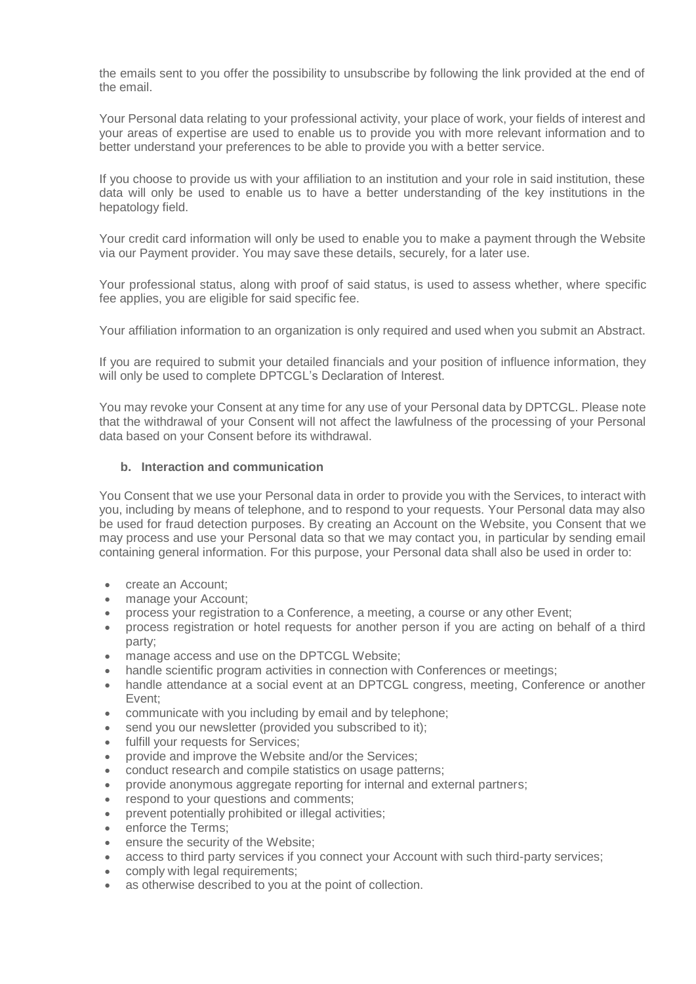the emails sent to you offer the possibility to unsubscribe by following the link provided at the end of the email.

Your Personal data relating to your professional activity, your place of work, your fields of interest and your areas of expertise are used to enable us to provide you with more relevant information and to better understand your preferences to be able to provide you with a better service.

If you choose to provide us with your affiliation to an institution and your role in said institution, these data will only be used to enable us to have a better understanding of the key institutions in the hepatology field.

Your credit card information will only be used to enable you to make a payment through the Website via our Payment provider. You may save these details, securely, for a later use.

Your professional status, along with proof of said status, is used to assess whether, where specific fee applies, you are eligible for said specific fee.

Your affiliation information to an organization is only required and used when you submit an Abstract.

If you are required to submit your detailed financials and your position of influence information, they will only be used to complete DPTCGL's Declaration of Interest.

You may revoke your Consent at any time for any use of your Personal data by DPTCGL. Please note that the withdrawal of your Consent will not affect the lawfulness of the processing of your Personal data based on your Consent before its withdrawal.

# **b. Interaction and communication**

You Consent that we use your Personal data in order to provide you with the Services, to interact with you, including by means of telephone, and to respond to your requests. Your Personal data may also be used for fraud detection purposes. By creating an Account on the Website, you Consent that we may process and use your Personal data so that we may contact you, in particular by sending email containing general information. For this purpose, your Personal data shall also be used in order to:

- create an Account:
- manage your Account;
- process your registration to a Conference, a meeting, a course or any other Event;
- process registration or hotel requests for another person if you are acting on behalf of a third party;
- manage access and use on the DPTCGL Website;
- handle scientific program activities in connection with Conferences or meetings;
- handle attendance at a social event at an DPTCGL congress, meeting, Conference or another Event;
- communicate with you including by email and by telephone;
- send you our newsletter (provided you subscribed to it);
- fulfill your requests for Services:
- provide and improve the Website and/or the Services;
- conduct research and compile statistics on usage patterns;
- provide anonymous aggregate reporting for internal and external partners;
- respond to your questions and comments;
- prevent potentially prohibited or illegal activities;
- enforce the Terms:
- ensure the security of the Website;
- access to third party services if you connect your Account with such third-party services;
- comply with legal requirements;
- as otherwise described to you at the point of collection.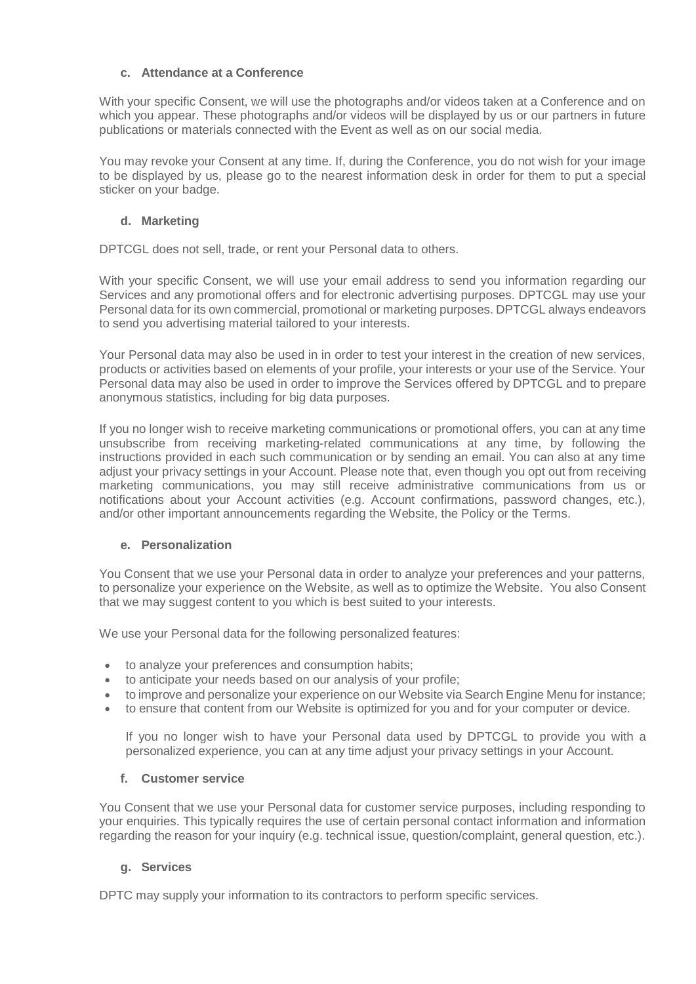### **c. Attendance at a Conference**

With your specific Consent, we will use the photographs and/or videos taken at a Conference and on which you appear. These photographs and/or videos will be displayed by us or our partners in future publications or materials connected with the Event as well as on our social media.

You may revoke your Consent at any time. If, during the Conference, you do not wish for your image to be displayed by us, please go to the nearest information desk in order for them to put a special sticker on your badge.

# **d. Marketing**

DPTCGL does not sell, trade, or rent your Personal data to others.

With your specific Consent, we will use your email address to send you information regarding our Services and any promotional offers and for electronic advertising purposes. DPTCGL may use your Personal data for its own commercial, promotional or marketing purposes. DPTCGL always endeavors to send you advertising material tailored to your interests.

Your Personal data may also be used in in order to test your interest in the creation of new services, products or activities based on elements of your profile, your interests or your use of the Service. Your Personal data may also be used in order to improve the Services offered by DPTCGL and to prepare anonymous statistics, including for big data purposes.

If you no longer wish to receive marketing communications or promotional offers, you can at any time unsubscribe from receiving marketing-related communications at any time, by following the instructions provided in each such communication or by sending an email. You can also at any time adjust your privacy settings in your Account. Please note that, even though you opt out from receiving marketing communications, you may still receive administrative communications from us or notifications about your Account activities (e.g. Account confirmations, password changes, etc.), and/or other important announcements regarding the Website, the Policy or the Terms.

# **e. Personalization**

You Consent that we use your Personal data in order to analyze your preferences and your patterns, to personalize your experience on the Website, as well as to optimize the Website. You also Consent that we may suggest content to you which is best suited to your interests.

We use your Personal data for the following personalized features:

- to analyze your preferences and consumption habits;
- to anticipate your needs based on our analysis of your profile;
- to improve and personalize your experience on our Website via Search Engine Menu for instance;
- to ensure that content from our Website is optimized for you and for your computer or device.

If you no longer wish to have your Personal data used by DPTCGL to provide you with a personalized experience, you can at any time adjust your privacy settings in your Account.

### **f. Customer service**

You Consent that we use your Personal data for customer service purposes, including responding to your enquiries. This typically requires the use of certain personal contact information and information regarding the reason for your inquiry (e.g. technical issue, question/complaint, general question, etc.).

# **g. Services**

DPTC may supply your information to its contractors to perform specific services.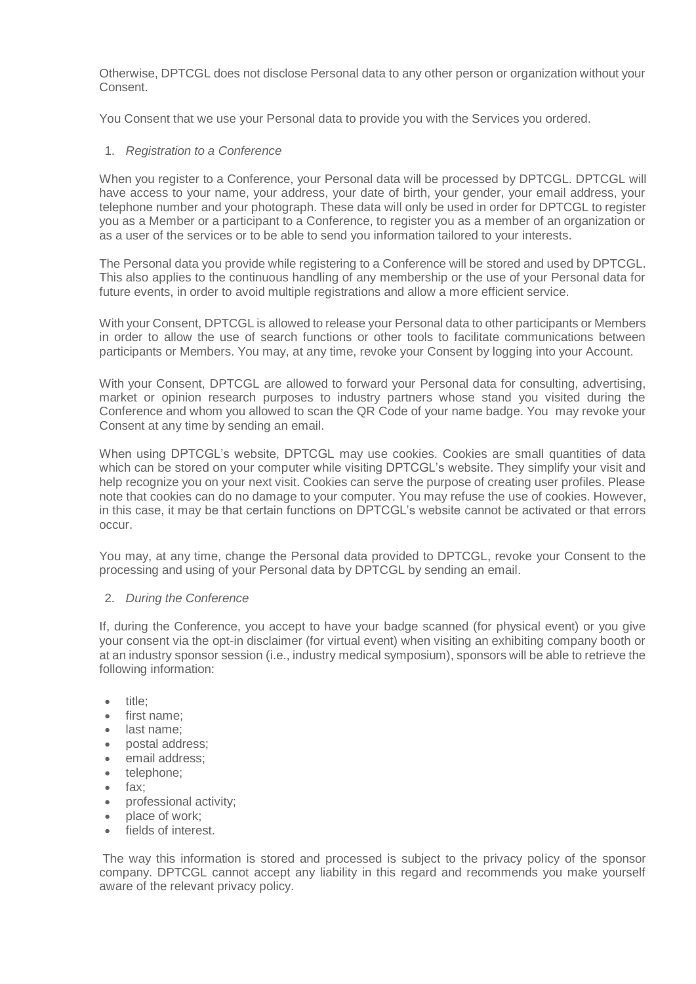Otherwise, DPTCGL does not disclose Personal data to any other person or organization without your Consent.

You Consent that we use your Personal data to provide you with the Services you ordered.

### 1. *Registration to a Conference*

When you register to a Conference, your Personal data will be processed by DPTCGL. DPTCGL will have access to your name, your address, your date of birth, your gender, your email address, your telephone number and your photograph. These data will only be used in order for DPTCGL to register you as a Member or a participant to a Conference, to register you as a member of an organization or as a user of the services or to be able to send you information tailored to your interests.

The Personal data you provide while registering to a Conference will be stored and used by DPTCGL. This also applies to the continuous handling of any membership or the use of your Personal data for future events, in order to avoid multiple registrations and allow a more efficient service.

With your Consent, DPTCGL is allowed to release your Personal data to other participants or Members in order to allow the use of search functions or other tools to facilitate communications between participants or Members. You may, at any time, revoke your Consent by logging into your Account.

With your Consent, DPTCGL are allowed to forward your Personal data for consulting, advertising, market or opinion research purposes to industry partners whose stand you visited during the Conference and whom you allowed to scan the QR Code of your name badge. You may revoke your Consent at any time by sending an email.

When using DPTCGL's website, DPTCGL may use cookies. Cookies are small quantities of data which can be stored on your computer while visiting DPTCGL's website. They simplify your visit and help recognize you on your next visit. Cookies can serve the purpose of creating user profiles. Please note that cookies can do no damage to your computer. You may refuse the use of cookies. However, in this case, it may be that certain functions on DPTCGL's website cannot be activated or that errors occur.

You may, at any time, change the Personal data provided to DPTCGL, revoke your Consent to the processing and using of your Personal data by DPTCGL by sending an email.

### 2. *During the Conference*

If, during the Conference, you accept to have your badge scanned (for physical event) or you give your consent via the opt-in disclaimer (for virtual event) when visiting an exhibiting company booth or at an industry sponsor session (i.e., industry medical symposium), sponsors will be able to retrieve the following information:

- title:
- first name:
- last name;
- postal address;
- email address;
- telephone;
- fax:
- professional activity;
- place of work:
- **•** fields of interest

The way this information is stored and processed is subject to the privacy policy of the sponsor company. DPTCGL cannot accept any liability in this regard and recommends you make yourself aware of the relevant privacy policy.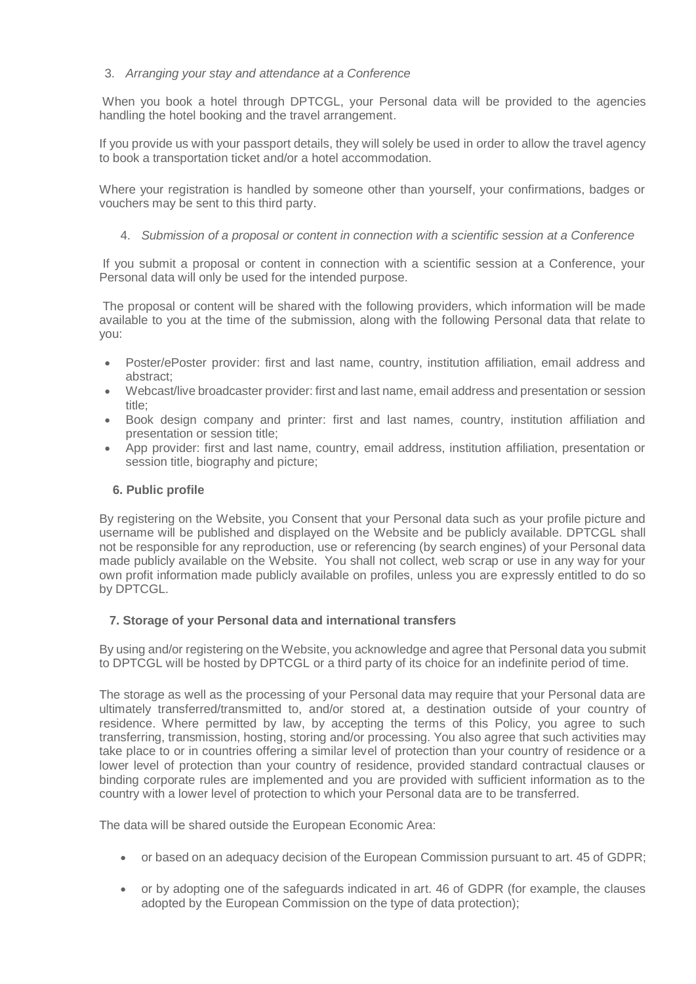## 3. *Arranging your stay and attendance at a Conference*

When you book a hotel through DPTCGL, your Personal data will be provided to the agencies handling the hotel booking and the travel arrangement.

If you provide us with your passport details, they will solely be used in order to allow the travel agency to book a transportation ticket and/or a hotel accommodation.

Where your registration is handled by someone other than yourself, your confirmations, badges or vouchers may be sent to this third party.

### 4. *Submission of a proposal or content in connection with a scientific session at a Conference*

If you submit a proposal or content in connection with a scientific session at a Conference, your Personal data will only be used for the intended purpose.

The proposal or content will be shared with the following providers, which information will be made available to you at the time of the submission, along with the following Personal data that relate to you:

- Poster/ePoster provider: first and last name, country, institution affiliation, email address and abstract;
- Webcast/live broadcaster provider: first and last name, email address and presentation or session title;
- Book design company and printer: first and last names, country, institution affiliation and presentation or session title;
- App provider: first and last name, country, email address, institution affiliation, presentation or session title, biography and picture;

### **6. Public profile**

By registering on the Website, you Consent that your Personal data such as your profile picture and username will be published and displayed on the Website and be publicly available. DPTCGL shall not be responsible for any reproduction, use or referencing (by search engines) of your Personal data made publicly available on the Website. You shall not collect, web scrap or use in any way for your own profit information made publicly available on profiles, unless you are expressly entitled to do so by DPTCGL.

### **7. Storage of your Personal data and international transfers**

By using and/or registering on the Website, you acknowledge and agree that Personal data you submit to DPTCGL will be hosted by DPTCGL or a third party of its choice for an indefinite period of time.

The storage as well as the processing of your Personal data may require that your Personal data are ultimately transferred/transmitted to, and/or stored at, a destination outside of your country of residence. Where permitted by law, by accepting the terms of this Policy, you agree to such transferring, transmission, hosting, storing and/or processing. You also agree that such activities may take place to or in countries offering a similar level of protection than your country of residence or a lower level of protection than your country of residence, provided standard contractual clauses or binding corporate rules are implemented and you are provided with sufficient information as to the country with a lower level of protection to which your Personal data are to be transferred.

The data will be shared outside the European Economic Area:

- or based on an adequacy decision of the European Commission pursuant to art. 45 of GDPR;
- or by adopting one of the safeguards indicated in art. 46 of GDPR (for example, the clauses adopted by the European Commission on the type of data protection);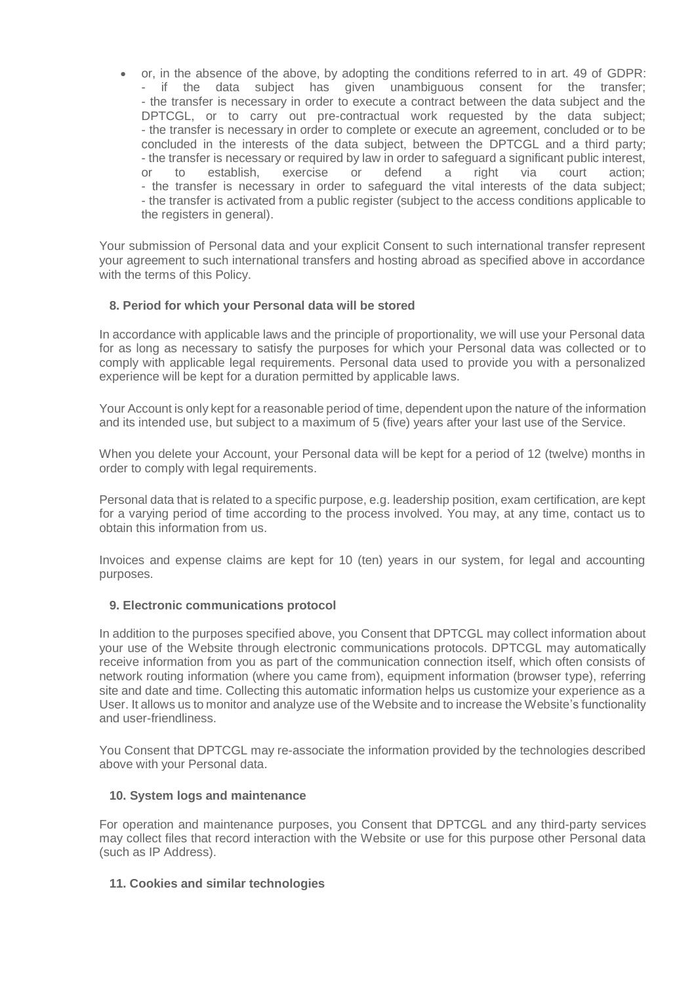or, in the absence of the above, by adopting the conditions referred to in art. 49 of GDPR: - if the data subject has given unambiguous consent for the transfer; - the transfer is necessary in order to execute a contract between the data subject and the DPTCGL, or to carry out pre-contractual work requested by the data subject; - the transfer is necessary in order to complete or execute an agreement, concluded or to be concluded in the interests of the data subject, between the DPTCGL and a third party; - the transfer is necessary or required by law in order to safeguard a significant public interest,<br>
or 
to 
establish, 
exercise 
or

defend

a

right
via

court
action; or to establish, exercise or defend a right via court action; - the transfer is necessary in order to safeguard the vital interests of the data subject; - the transfer is activated from a public register (subject to the access conditions applicable to the registers in general).

Your submission of Personal data and your explicit Consent to such international transfer represent your agreement to such international transfers and hosting abroad as specified above in accordance with the terms of this Policy.

# **8. Period for which your Personal data will be stored**

In accordance with applicable laws and the principle of proportionality, we will use your Personal data for as long as necessary to satisfy the purposes for which your Personal data was collected or to comply with applicable legal requirements. Personal data used to provide you with a personalized experience will be kept for a duration permitted by applicable laws.

Your Account is only kept for a reasonable period of time, dependent upon the nature of the information and its intended use, but subject to a maximum of 5 (five) years after your last use of the Service.

When you delete your Account, your Personal data will be kept for a period of 12 (twelve) months in order to comply with legal requirements.

Personal data that is related to a specific purpose, e.g. leadership position, exam certification, are kept for a varying period of time according to the process involved. You may, at any time, contact us to obtain this information from us.

Invoices and expense claims are kept for 10 (ten) years in our system, for legal and accounting purposes.

### **9. Electronic communications protocol**

In addition to the purposes specified above, you Consent that DPTCGL may collect information about your use of the Website through electronic communications protocols. DPTCGL may automatically receive information from you as part of the communication connection itself, which often consists of network routing information (where you came from), equipment information (browser type), referring site and date and time. Collecting this automatic information helps us customize your experience as a User. It allows us to monitor and analyze use of the Website and to increase the Website's functionality and user-friendliness.

You Consent that DPTCGL may re-associate the information provided by the technologies described above with your Personal data.

### **10. System logs and maintenance**

For operation and maintenance purposes, you Consent that DPTCGL and any third-party services may collect files that record interaction with the Website or use for this purpose other Personal data (such as IP Address).

### **11. Cookies and similar technologies**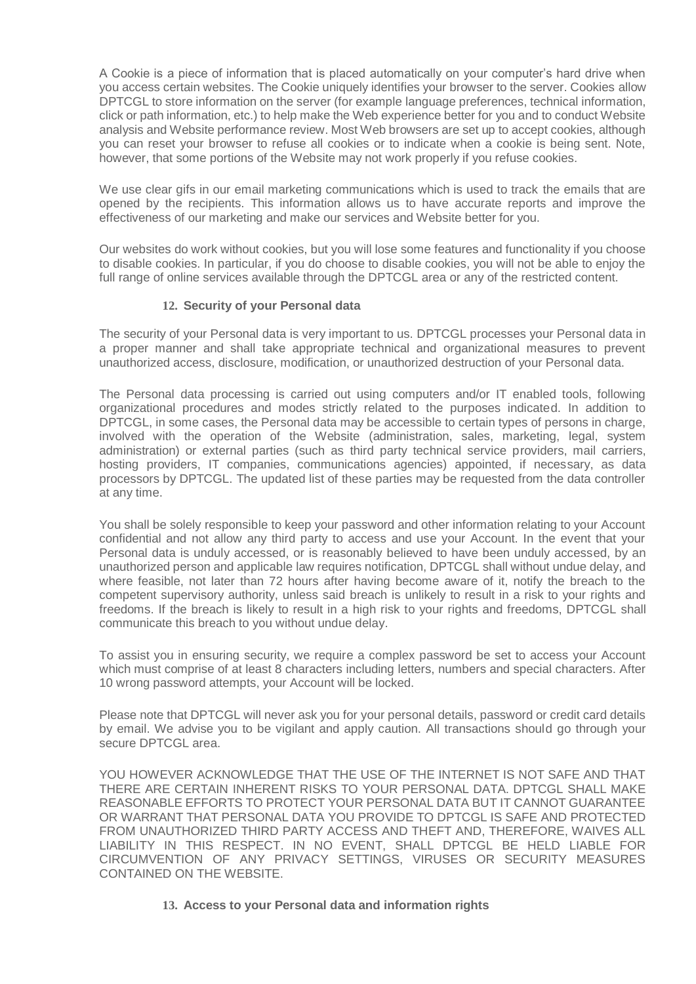A Cookie is a piece of information that is placed automatically on your computer's hard drive when you access certain websites. The Cookie uniquely identifies your browser to the server. Cookies allow DPTCGL to store information on the server (for example language preferences, technical information, click or path information, etc.) to help make the Web experience better for you and to conduct Website analysis and Website performance review. Most Web browsers are set up to accept cookies, although you can reset your browser to refuse all cookies or to indicate when a cookie is being sent. Note, however, that some portions of the Website may not work properly if you refuse cookies.

We use clear gifs in our email marketing communications which is used to track the emails that are opened by the recipients. This information allows us to have accurate reports and improve the effectiveness of our marketing and make our services and Website better for you.

Our websites do work without cookies, but you will lose some features and functionality if you choose to disable cookies. In particular, if you do choose to disable cookies, you will not be able to enjoy the full range of online services available through the DPTCGL area or any of the restricted content.

### **12. Security of your Personal data**

The security of your Personal data is very important to us. DPTCGL processes your Personal data in a proper manner and shall take appropriate technical and organizational measures to prevent unauthorized access, disclosure, modification, or unauthorized destruction of your Personal data.

The Personal data processing is carried out using computers and/or IT enabled tools, following organizational procedures and modes strictly related to the purposes indicated. In addition to DPTCGL, in some cases, the Personal data may be accessible to certain types of persons in charge, involved with the operation of the Website (administration, sales, marketing, legal, system administration) or external parties (such as third party technical service providers, mail carriers, hosting providers, IT companies, communications agencies) appointed, if necessary, as data processors by DPTCGL. The updated list of these parties may be requested from the data controller at any time.

You shall be solely responsible to keep your password and other information relating to your Account confidential and not allow any third party to access and use your Account. In the event that your Personal data is unduly accessed, or is reasonably believed to have been unduly accessed, by an unauthorized person and applicable law requires notification, DPTCGL shall without undue delay, and where feasible, not later than 72 hours after having become aware of it, notify the breach to the competent supervisory authority, unless said breach is unlikely to result in a risk to your rights and freedoms. If the breach is likely to result in a high risk to your rights and freedoms, DPTCGL shall communicate this breach to you without undue delay.

To assist you in ensuring security, we require a complex password be set to access your Account which must comprise of at least 8 characters including letters, numbers and special characters. After 10 wrong password attempts, your Account will be locked.

Please note that DPTCGL will never ask you for your personal details, password or credit card details by email. We advise you to be vigilant and apply caution. All transactions should go through your secure DPTCGL area.

YOU HOWEVER ACKNOWLEDGE THAT THE USE OF THE INTERNET IS NOT SAFE AND THAT THERE ARE CERTAIN INHERENT RISKS TO YOUR PERSONAL DATA. DPTCGL SHALL MAKE REASONABLE EFFORTS TO PROTECT YOUR PERSONAL DATA BUT IT CANNOT GUARANTEE OR WARRANT THAT PERSONAL DATA YOU PROVIDE TO DPTCGL IS SAFE AND PROTECTED FROM UNAUTHORIZED THIRD PARTY ACCESS AND THEFT AND, THEREFORE, WAIVES ALL LIABILITY IN THIS RESPECT. IN NO EVENT, SHALL DPTCGL BE HELD LIABLE FOR CIRCUMVENTION OF ANY PRIVACY SETTINGS, VIRUSES OR SECURITY MEASURES CONTAINED ON THE WEBSITE.

### **13. Access to your Personal data and information rights**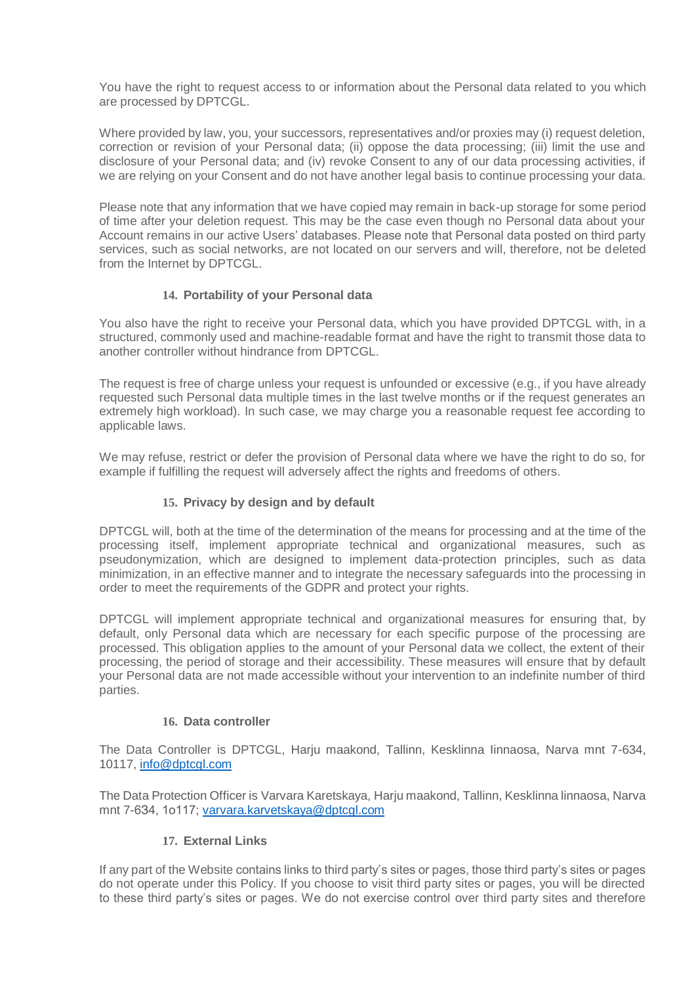You have the right to request access to or information about the Personal data related to you which are processed by DPTCGL.

Where provided by law, you, your successors, representatives and/or proxies may (i) request deletion, correction or revision of your Personal data; (ii) oppose the data processing; (iii) limit the use and disclosure of your Personal data; and (iv) revoke Consent to any of our data processing activities, if we are relying on your Consent and do not have another legal basis to continue processing your data.

Please note that any information that we have copied may remain in back-up storage for some period of time after your deletion request. This may be the case even though no Personal data about your Account remains in our active Users' databases. Please note that Personal data posted on third party services, such as social networks, are not located on our servers and will, therefore, not be deleted from the Internet by DPTCGL.

# **14. Portability of your Personal data**

You also have the right to receive your Personal data, which you have provided DPTCGL with, in a structured, commonly used and machine-readable format and have the right to transmit those data to another controller without hindrance from DPTCGL.

The request is free of charge unless your request is unfounded or excessive (e.g., if you have already requested such Personal data multiple times in the last twelve months or if the request generates an extremely high workload). In such case, we may charge you a reasonable request fee according to applicable laws.

We may refuse, restrict or defer the provision of Personal data where we have the right to do so, for example if fulfilling the request will adversely affect the rights and freedoms of others.

# **15. Privacy by design and by default**

DPTCGL will, both at the time of the determination of the means for processing and at the time of the processing itself, implement appropriate technical and organizational measures, such as pseudonymization, which are designed to implement data-protection principles, such as data minimization, in an effective manner and to integrate the necessary safeguards into the processing in order to meet the requirements of the GDPR and protect your rights.

DPTCGL will implement appropriate technical and organizational measures for ensuring that, by default, only Personal data which are necessary for each specific purpose of the processing are processed. This obligation applies to the amount of your Personal data we collect, the extent of their processing, the period of storage and their accessibility. These measures will ensure that by default your Personal data are not made accessible without your intervention to an indefinite number of third parties.

# **16. Data controller**

The Data Controller is DPTCGL, Harju maakond, Tallinn, Kesklinna Iinnaosa, Narva mnt 7-634, 10117, [info@dptcgl.com](mailto:info@dptcgl.com)

The Data Protection Officer is Varvara Karetskaya, Harju maakond, Tallinn, Kesklinna linnaosa, Narva mnt 7-6З4, 1о117; [varvara.karvetskaya@dptcgl.com](mailto:varvara.karvetskaya@dptcgl.com)

# **17. External Links**

If any part of the Website contains links to third party's sites or pages, those third party's sites or pages do not operate under this Policy. If you choose to visit third party sites or pages, you will be directed to these third party's sites or pages. We do not exercise control over third party sites and therefore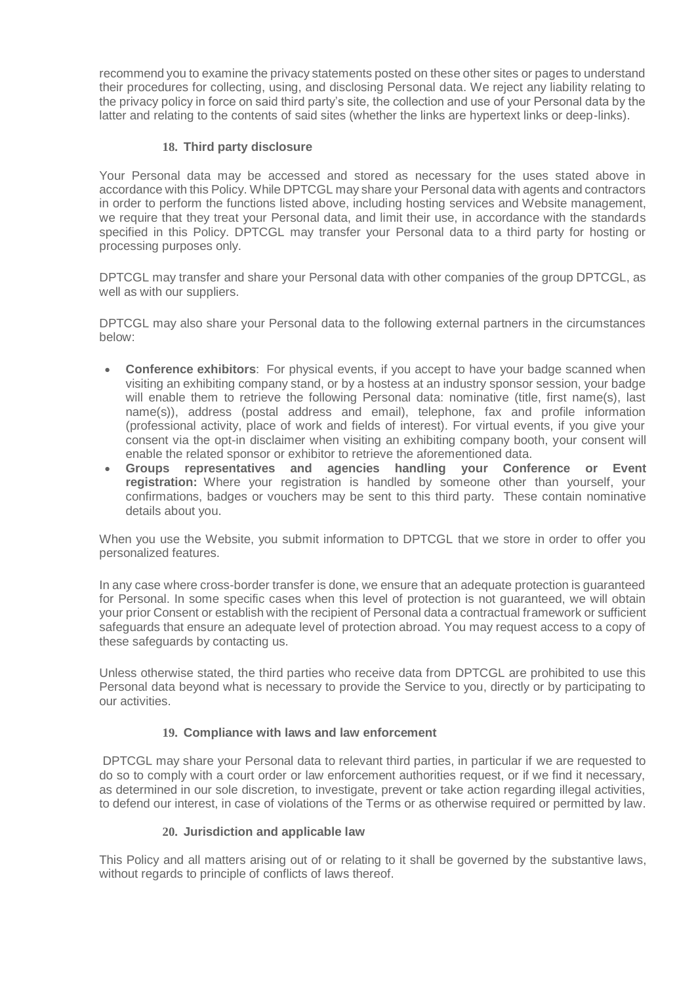recommend you to examine the privacy statements posted on these other sites or pages to understand their procedures for collecting, using, and disclosing Personal data. We reject any liability relating to the privacy policy in force on said third party's site, the collection and use of your Personal data by the latter and relating to the contents of said sites (whether the links are hypertext links or deep-links).

## **18. Third party disclosure**

Your Personal data may be accessed and stored as necessary for the uses stated above in accordance with this Policy. While DPTCGL may share your Personal data with agents and contractors in order to perform the functions listed above, including hosting services and Website management, we require that they treat your Personal data, and limit their use, in accordance with the standards specified in this Policy. DPTCGL may transfer your Personal data to a third party for hosting or processing purposes only.

DPTCGL may transfer and share your Personal data with other companies of the group DPTCGL, as well as with our suppliers.

DPTCGL may also share your Personal data to the following external partners in the circumstances below:

- **Conference exhibitors**: For physical events, if you accept to have your badge scanned when visiting an exhibiting company stand, or by a hostess at an industry sponsor session, your badge will enable them to retrieve the following Personal data: nominative (title, first name(s), last name(s)), address (postal address and email), telephone, fax and profile information (professional activity, place of work and fields of interest). For virtual events, if you give your consent via the opt-in disclaimer when visiting an exhibiting company booth, your consent will enable the related sponsor or exhibitor to retrieve the aforementioned data.
- **Groups representatives and agencies handling your Conference or Event registration:** Where your registration is handled by someone other than yourself, your confirmations, badges or vouchers may be sent to this third party. These contain nominative details about you.

When you use the Website, you submit information to DPTCGL that we store in order to offer you personalized features.

In any case where cross-border transfer is done, we ensure that an adequate protection is guaranteed for Personal. In some specific cases when this level of protection is not guaranteed, we will obtain your prior Consent or establish with the recipient of Personal data a contractual framework or sufficient safeguards that ensure an adequate level of protection abroad. You may request access to a copy of these safeguards by contacting us.

Unless otherwise stated, the third parties who receive data from DPTCGL are prohibited to use this Personal data beyond what is necessary to provide the Service to you, directly or by participating to our activities.

# **19. Compliance with laws and law enforcement**

DPTCGL may share your Personal data to relevant third parties, in particular if we are requested to do so to comply with a court order or law enforcement authorities request, or if we find it necessary, as determined in our sole discretion, to investigate, prevent or take action regarding illegal activities, to defend our interest, in case of violations of the Terms or as otherwise required or permitted by law.

### **20. Jurisdiction and applicable law**

This Policy and all matters arising out of or relating to it shall be governed by the substantive laws, without regards to principle of conflicts of laws thereof.